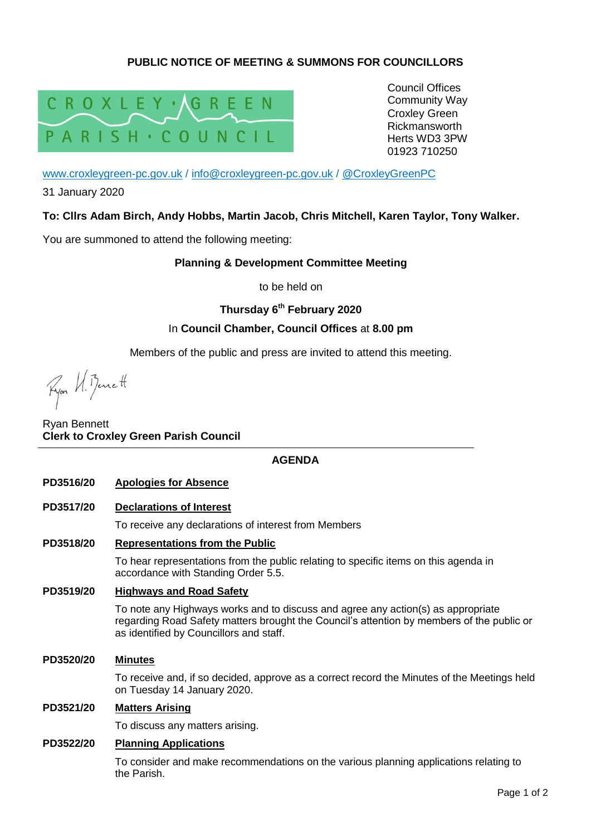# **PUBLIC NOTICE OF MEETING & SUMMONS FOR COUNCILLORS**



Council Offices Community Way Croxley Green Rickmansworth Herts WD3 3PW 01923 710250

[www.croxleygreen-pc.gov.uk](http://www.croxleygreen-pc.gov.uk/) / [info@croxleygreen-pc.gov.uk](mailto:info@croxleygreen-pc.gov.uk) / [@CroxleyGreenPC](https://twitter.com/CroxleyGreenPC)

31 January 2020

## **To: Cllrs Adam Birch, Andy Hobbs, Martin Jacob, Chris Mitchell, Karen Taylor, Tony Walker.**

You are summoned to attend the following meeting:

### **Planning & Development Committee Meeting**

to be held on

## **Thursday 6 th February 2020**

### In **Council Chamber, Council Offices** at **8.00 pm**

Members of the public and press are invited to attend this meeting.

Ryon U. Bennett

Ryan Bennett **Clerk to Croxley Green Parish Council**

### **AGENDA**

**PD3516/20 Apologies for Absence**

### **PD3517/20 Declarations of Interest**

To receive any declarations of interest from Members

### **PD3518/20 Representations from the Public**

To hear representations from the public relating to specific items on this agenda in accordance with Standing Order 5.5.

### **PD3519/20 Highways and Road Safety**

To note any Highways works and to discuss and agree any action(s) as appropriate regarding Road Safety matters brought the Council's attention by members of the public or as identified by Councillors and staff.

### **PD3520/20 Minutes**

To receive and, if so decided, approve as a correct record the Minutes of the Meetings held on Tuesday 14 January 2020.

### **PD3521/20 Matters Arising**

To discuss any matters arising.

### **PD3522/20 Planning Applications**

To consider and make recommendations on the various planning applications relating to the Parish.